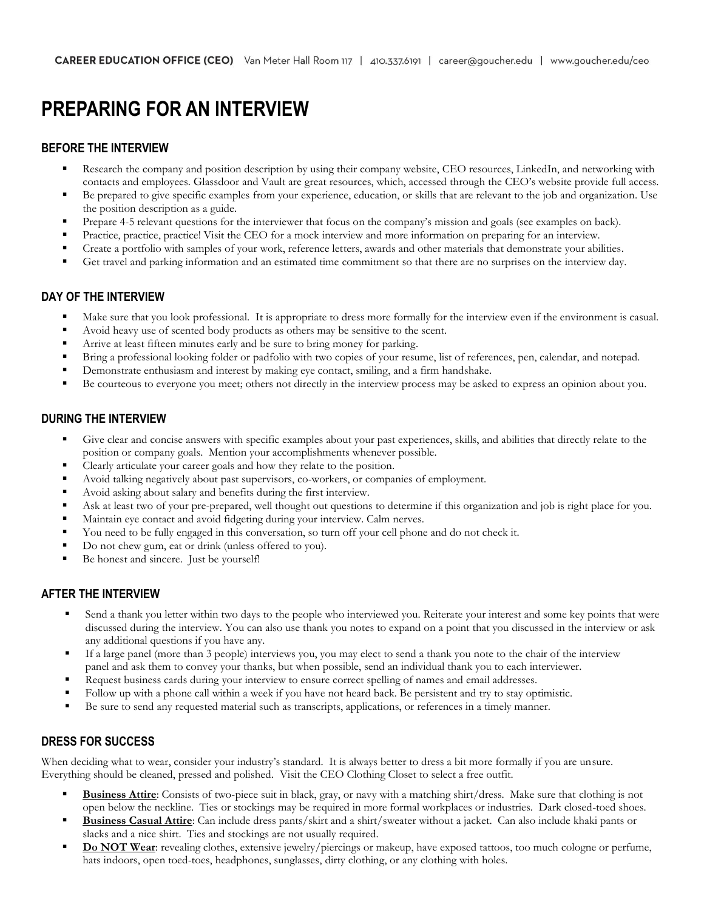# **PREPARING FOR AN INTERVIEW**

#### **BEFORE THE INTERVIEW**

- **EXECT** Research the company and position description by using their company website, CEO resources, LinkedIn, and networking with contacts and employees. Glassdoor and Vault are great resources, which, accessed through the CEO's website provide full access.
- Be prepared to give specific examples from your experience, education, or skills that are relevant to the job and organization. Use the position description as a guide.
- Prepare 4-5 relevant questions for the interviewer that focus on the company's mission and goals (see examples on back).
- Practice, practice, practice! Visit the CEO for a mock interview and more information on preparing for an interview.
- Create a portfolio with samples of your work, reference letters, awards and other materials that demonstrate your abilities.
- Get travel and parking information and an estimated time commitment so that there are no surprises on the interview day.

#### **DAY OF THE INTERVIEW**

- Make sure that you look professional. It is appropriate to dress more formally for the interview even if the environment is casual.
- Avoid heavy use of scented body products as others may be sensitive to the scent.
- Arrive at least fifteen minutes early and be sure to bring money for parking.
- Bring a professional looking folder or padfolio with two copies of your resume, list of references, pen, calendar, and notepad.
- Demonstrate enthusiasm and interest by making eye contact, smiling, and a firm handshake.
- Be courteous to everyone you meet; others not directly in the interview process may be asked to express an opinion about you.

#### **DURING THE INTERVIEW**

- Give clear and concise answers with specific examples about your past experiences, skills, and abilities that directly relate to the position or company goals. Mention your accomplishments whenever possible.
- Clearly articulate your career goals and how they relate to the position.
- Avoid talking negatively about past supervisors, co-workers, or companies of employment.
- Avoid asking about salary and benefits during the first interview.
- Ask at least two of your pre-prepared, well thought out questions to determine if this organization and job is right place for you.
- Maintain eye contact and avoid fidgeting during your interview. Calm nerves.
- You need to be fully engaged in this conversation, so turn off your cell phone and do not check it.
- Do not chew gum, eat or drink (unless offered to you).
- Be honest and sincere. Just be yourself!

#### **AFTER THE INTERVIEW**

- Send a thank you letter within two days to the people who interviewed you. Reiterate your interest and some key points that were discussed during the interview. You can also use thank you notes to expand on a point that you discussed in the interview or ask any additional questions if you have any.
- If a large panel (more than 3 people) interviews you, you may elect to send a thank you note to the chair of the interview panel and ask them to convey your thanks, but when possible, send an individual thank you to each interviewer.
- **Request business cards during your interview to ensure correct spelling of names and email addresses.**
- Follow up with a phone call within a week if you have not heard back. Be persistent and try to stay optimistic.
- Be sure to send any requested material such as transcripts, applications, or references in a timely manner.

#### **DRESS FOR SUCCESS**

When deciding what to wear, consider your industry's standard. It is always better to dress a bit more formally if you are unsure. Everything should be cleaned, pressed and polished. Visit the CEO Clothing Closet to select a free outfit.

- **Business Attire**: Consists of two-piece suit in black, gray, or navy with a matching shirt/dress. Make sure that clothing is not open below the neckline. Ties or stockings may be required in more formal workplaces or industries. Dark closed-toed shoes.
- **Business Casual Attire**: Can include dress pants/skirt and a shirt/sweater without a jacket. Can also include khaki pants or slacks and a nice shirt. Ties and stockings are not usually required.
- **Do NOT Wear**: revealing clothes, extensive jewelry/piercings or makeup, have exposed tattoos, too much cologne or perfume, hats indoors, open toed-toes, headphones, sunglasses, dirty clothing, or any clothing with holes.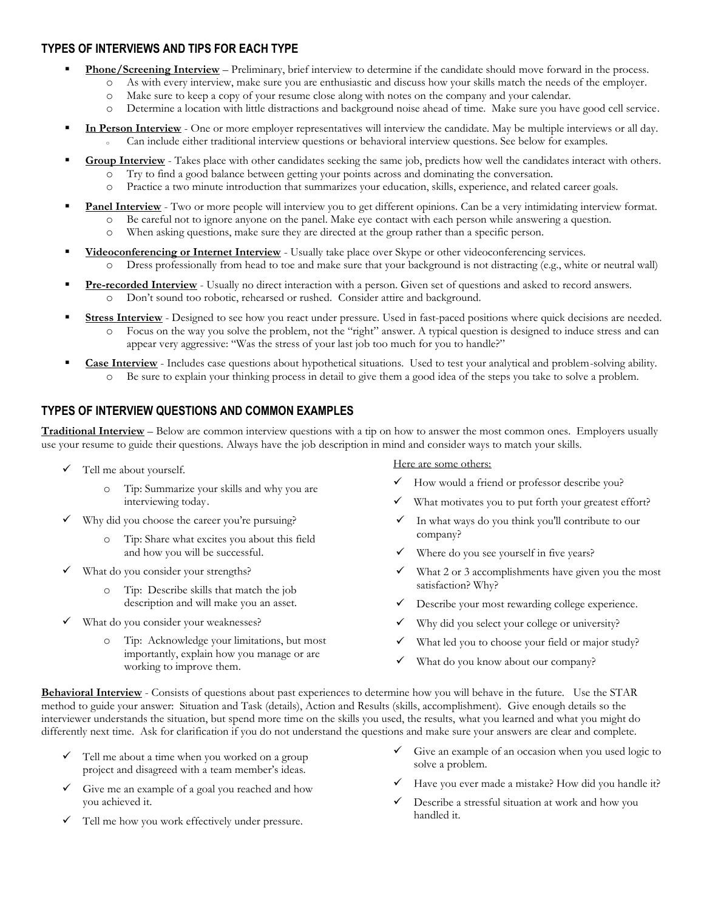#### **TYPES OF INTERVIEWS AND TIPS FOR EACH TYPE**

- **Phone/Screening Interview** Preliminary, brief interview to determine if the candidate should move forward in the process.
	- o As with every interview, make sure you are enthusiastic and discuss how your skills match the needs of the employer.
		- o Make sure to keep a copy of your resume close along with notes on the company and your calendar.
	- o Determine a location with little distractions and background noise ahead of time. Make sure you have good cell service.
- **In Person Interview** One or more employer representatives will interview the candidate. May be multiple interviews or all day. Can include either traditional interview questions or behavioral interview questions. See below for examples.
- Group Interview Takes place with other candidates seeking the same job, predicts how well the candidates interact with others.
	- o Try to find a good balance between getting your points across and dominating the conversation.
	- o Practice a two minute introduction that summarizes your education, skills, experience, and related career goals.
	- Panel Interview Two or more people will interview you to get different opinions. Can be a very intimidating interview format.
		- o Be careful not to ignore anyone on the panel. Make eye contact with each person while answering a question.
			- o When asking questions, make sure they are directed at the group rather than a specific person.
- **Yideoconferencing or Internet Interview** Usually take place over Skype or other videoconferencing services. o Dress professionally from head to toe and make sure that your background is not distracting (e.g., white or neutral wall)
- **Pre-recorded Interview** Usually no direct interaction with a person. Given set of questions and asked to record answers. o Don't sound too robotic, rehearsed or rushed. Consider attire and background.
	- **Stress Interview** Designed to see how you react under pressure. Used in fast-paced positions where quick decisions are needed. o Focus on the way you solve the problem, not the "right" answer. A typical question is designed to induce stress and can appear very aggressive: "Was the stress of your last job too much for you to handle?"
- **Case Interview** Includes case questions about hypothetical situations. Used to test your analytical and problem-solving ability. o Be sure to explain your thinking process in detail to give them a good idea of the steps you take to solve a problem.

# **TYPES OF INTERVIEW QUESTIONS AND COMMON EXAMPLES**

**Traditional Interview** – Below are common interview questions with a tip on how to answer the most common ones. Employers usually use your resume to guide their questions. Always have the job description in mind and consider ways to match your skills.

- $\checkmark$  Tell me about yourself.
	- o Tip: Summarize your skills and why you are interviewing today.
- ✓ Why did you choose the career you're pursuing?
	- Tip: Share what excites you about this field and how you will be successful.
- ✓ What do you consider your strengths?
	- o Tip: Describe skills that match the job description and will make you an asset.
- What do you consider your weaknesses?
	- o Tip: Acknowledge your limitations, but most importantly, explain how you manage or are working to improve them.

Here are some others:

- How would a friend or professor describe you?
- What motivates you to put forth your greatest effort?
- In what ways do you think you'll contribute to our company?
- Where do you see yourself in five years?
- What 2 or 3 accomplishments have given you the most satisfaction? Why?
- Describe your [most rewarding college experience.](http://activities.kaptest.com/holiday/spring.html)
- Why did you select your college or university?
- ✓ What led you to choose your field or major study?
- What do you know about our company?

**Behavioral Interview** - Consists of questions about past experiences to determine how you will behave in the future. Use the STAR method to guide your answer: Situation and Task (details), Action and Results (skills, accomplishment). Give enough details so the interviewer understands the situation, but spend more time on the skills you used, the results, what you learned and what you might do differently next time. Ask for clarification if you do not understand the questions and make sure your answers are clear and complete.

- $\checkmark$  Tell me about a time when you worked on a group project and disagreed with a team member's ideas.
- Give me an example of a goal you reached and how you achieved it.
- $\checkmark$  Tell me how you work effectively under pressure.
- $\checkmark$  Give an example of an occasion when you used logic to solve a problem.
- ✓ Have you ever made a mistake? How did you handle it?
- Describe a stressful situation at work and how you handled it.